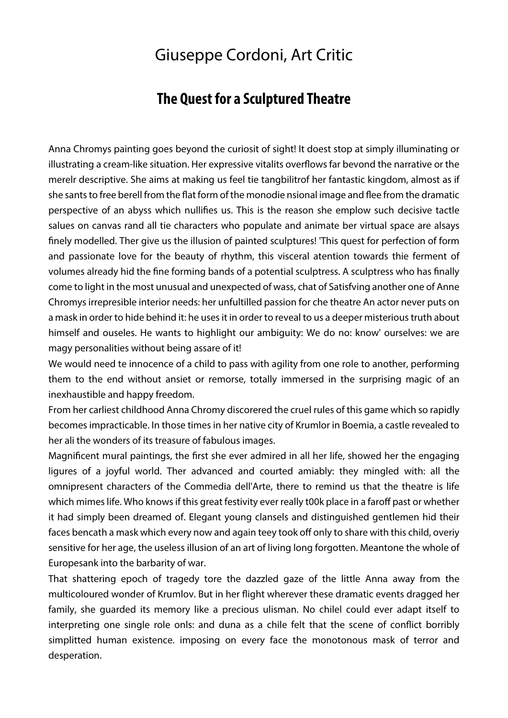## Giuseppe Cordoni, Art Critic

## **The Quest for a Sculptured Theatre**

Anna Chromys painting goes beyond the curiosit of sight! It doest stop at simply illuminating or illustrating a cream-like situation. Her expressive vitalits overflows far bevond the narrative or the merelr descriptive. She aims at making us feel tie tangbilitrof her fantastic kingdom, almost as if she sants to free berell from the flat form of the monodie nsional image and flee from the dramatic perspective of an abyss which nullifies us. This is the reason she emplow such decisive tactle salues on canvas rand all tie characters who populate and animate ber virtual space are alsays nely modelled. Ther give us the illusion of painted sculptures! 'This quest for perfection of form and passionate love for the beauty of rhythm, this visceral atention towards thie ferment of volumes already hid the fine forming bands of a potential sculptress. A sculptress who has finally come to light in the most unusual and unexpected of wass, chat of Satisfving another one of Anne Chromys irrepresible interior needs: her unfultilled passion for che theatre An actor never puts on a mask in order to hide behind it: he uses it in order to reveal to us a deeper misterious truth about himself and ouseles. He wants to highlight our ambiguity: We do no: know' ourselves: we are magy personalities without being assare of it!

We would need te innocence of a child to pass with agility from one role to another, performing them to the end without ansiet or remorse, totally immersed in the surprising magic of an inexhaustible and happy freedom.

From her carliest childhood Anna Chromy discorered the cruel rules of this game which so rapidly becomes impracticable. In those times in her native city of Krumlor in Boemia, a castle revealed to her ali the wonders of its treasure of fabulous images.

Magnificent mural paintings, the first she ever admired in all her life, showed her the engaging ligures of a joyful world. Ther advanced and courted amiably: they mingled with: all the omnipresent characters of the Commedia dell'Arte, there to remind us that the theatre is life which mimes life. Who knows if this great festivity ever really t00k place in a faroff past or whether it had simply been dreamed of. Elegant young clansels and distinguished gentlemen hid their faces bencath a mask which every now and again teey took off only to share with this child, overiy sensitive for her age, the useless illusion of an art of living long forgotten. Meantone the whole of Europesank into the barbarity of war.

That shattering epoch of tragedy tore the dazzled gaze of the little Anna away from the multicoloured wonder of Krumlov. But in her flight wherever these dramatic events dragged her family, she guarded its memory like a precious ulisman. No chilel could ever adapt itself to interpreting one single role onls: and duna as a chile felt that the scene of conflict borribly simplitted human existence. imposing on every face the monotonous mask of terror and desperation.